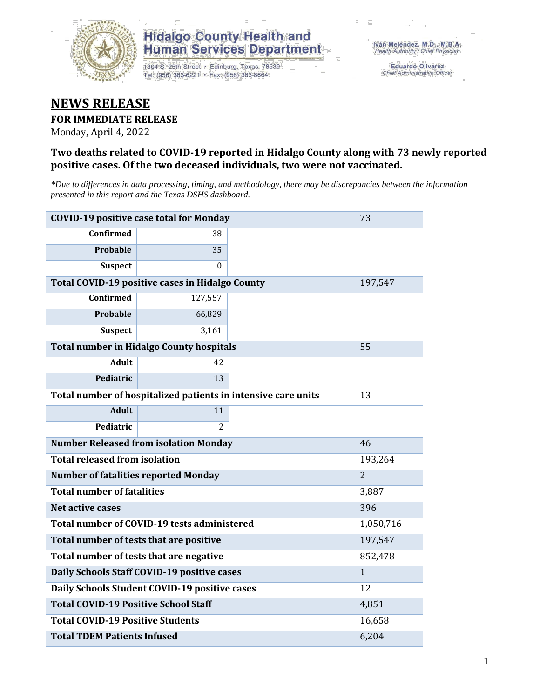

# **Hidalgo County Health and Human Services Department**

1304 S. 25th Street · Edinburg, Texas 78539 Tel: (956) 383-6221 · Fax: (956) 383-8864

**Eduardo Olivarez** Chief Administrative Officer

# **NEWS RELEASE**

### **FOR IMMEDIATE RELEASE**

Monday, April 4, 2022

### **Two deaths related to COVID-19 reported in Hidalgo County along with 73 newly reported positive cases. Of the two deceased individuals, two were not vaccinated.**

*\*Due to differences in data processing, timing, and methodology, there may be discrepancies between the information presented in this report and the Texas DSHS dashboard.*

| <b>COVID-19 positive case total for Monday</b><br>73          |                |              |  |  |  |
|---------------------------------------------------------------|----------------|--------------|--|--|--|
| <b>Confirmed</b>                                              | 38             |              |  |  |  |
| <b>Probable</b>                                               | 35             |              |  |  |  |
| <b>Suspect</b>                                                | $\Omega$       |              |  |  |  |
| <b>Total COVID-19 positive cases in Hidalgo County</b>        |                | 197,547      |  |  |  |
| <b>Confirmed</b>                                              | 127,557        |              |  |  |  |
| Probable                                                      | 66,829         |              |  |  |  |
| <b>Suspect</b>                                                | 3,161          |              |  |  |  |
| <b>Total number in Hidalgo County hospitals</b>               |                | 55           |  |  |  |
| <b>Adult</b>                                                  | 42             |              |  |  |  |
| Pediatric                                                     | 13             |              |  |  |  |
| Total number of hospitalized patients in intensive care units | 13             |              |  |  |  |
| <b>Adult</b>                                                  | 11             |              |  |  |  |
| Pediatric                                                     | 2              |              |  |  |  |
| <b>Number Released from isolation Monday</b>                  | 46             |              |  |  |  |
| <b>Total released from isolation</b>                          | 193,264        |              |  |  |  |
| <b>Number of fatalities reported Monday</b>                   | $\overline{2}$ |              |  |  |  |
| <b>Total number of fatalities</b>                             |                | 3,887        |  |  |  |
| Net active cases                                              |                | 396          |  |  |  |
| Total number of COVID-19 tests administered                   |                | 1,050,716    |  |  |  |
| Total number of tests that are positive                       | 197,547        |              |  |  |  |
| Total number of tests that are negative                       | 852,478        |              |  |  |  |
| Daily Schools Staff COVID-19 positive cases                   |                | $\mathbf{1}$ |  |  |  |
| Daily Schools Student COVID-19 positive cases                 | 12             |              |  |  |  |
| <b>Total COVID-19 Positive School Staff</b>                   | 4,851          |              |  |  |  |
| <b>Total COVID-19 Positive Students</b>                       | 16,658         |              |  |  |  |
| <b>Total TDEM Patients Infused</b>                            | 6,204          |              |  |  |  |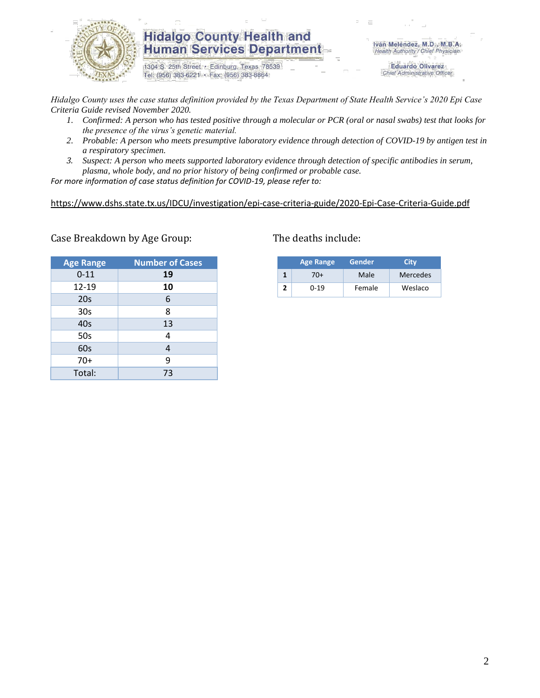

## **Hidalgo County Health and Human Services Department**

1304 S. 25th Street · Edinburg, Texas 78539 Tel: (956) 383-6221 · Fax: (956) 383-8864

Iván Meléndez, M.D., M.B.A. Health Authority / Chief Physician

> **Eduardo Olivarez** Chief Administrative Officer

*Hidalgo County uses the case status definition provided by the Texas Department of State Health Service's 2020 Epi Case Criteria Guide revised November 2020.*

- *1. Confirmed: A person who has tested positive through a molecular or PCR (oral or nasal swabs) test that looks for the presence of the virus's genetic material.*
- *2. Probable: A person who meets presumptive laboratory evidence through detection of COVID-19 by antigen test in a respiratory specimen.*
- *3. Suspect: A person who meets supported laboratory evidence through detection of specific antibodies in serum, plasma, whole body, and no prior history of being confirmed or probable case.*

*For more information of case status definition for COVID-19, please refer to:*

<https://www.dshs.state.tx.us/IDCU/investigation/epi-case-criteria-guide/2020-Epi-Case-Criteria-Guide.pdf>

| <b>Age Range</b> | <b>Number of Cases</b> |
|------------------|------------------------|
| $0 - 11$         | 19                     |
| 12-19            | 10                     |
| 20 <sub>s</sub>  | 6                      |
| 30 <sub>s</sub>  | 8                      |
| 40s              | 13                     |
| 50s              | 4                      |
| 60s              | 4                      |
| $70+$            | 9                      |
| Total:           | 73                     |

### Case Breakdown by Age Group: The deaths include:

| <b>Age Range</b> |          | Gender | Citv     |  |  |
|------------------|----------|--------|----------|--|--|
|                  | $(0+$    | Male   | Mercedes |  |  |
|                  | $0 - 19$ | Female | Weslaco  |  |  |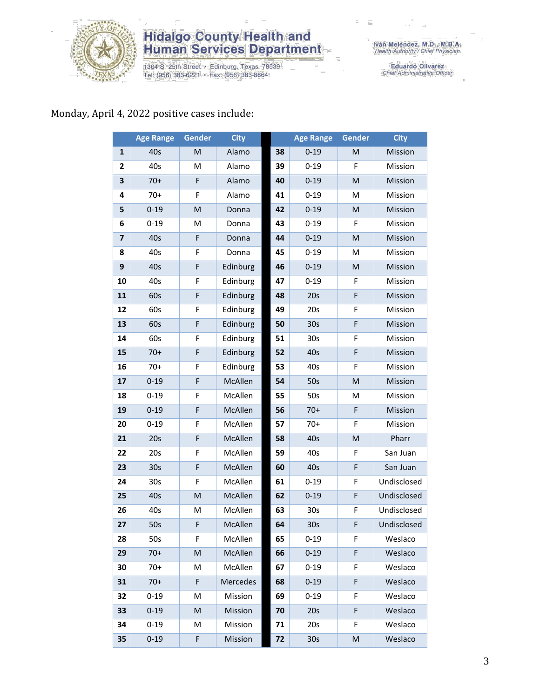

# **Hidalgo County Health and<br>Human Services Department**

1304 S. 25th Street · Edinburg, Texas 78539<br>Tel: (956) 383-6221 · Fax: (956) 383-8864

Iván Meléndez, M.D., M.B.A.<br>Health Authority / Chief Physician

Eduardo Olivarez<br>Chief Administrative Officer

### Monday, April 4, 2022 positive cases include:

|                         | <b>Age Range</b> | <b>Gender</b> | <b>City</b> |    | <b>Age Range</b> | <b>Gender</b> | <b>City</b> |
|-------------------------|------------------|---------------|-------------|----|------------------|---------------|-------------|
| $\mathbf{1}$            | 40s              | M             | Alamo       | 38 | $0 - 19$         | M             | Mission     |
| 2                       | 40s              | M             | Alamo       | 39 | $0 - 19$         | F             | Mission     |
| 3                       | $70+$            | F             | Alamo       | 40 | $0 - 19$         | M             | Mission     |
| 4                       | $70+$            | F             | Alamo       | 41 | $0 - 19$         | M             | Mission     |
| 5                       | $0 - 19$         | M             | Donna       | 42 | $0 - 19$         | M             | Mission     |
| 6                       | $0 - 19$         | M             | Donna       | 43 | $0 - 19$         | F             | Mission     |
| $\overline{\mathbf{z}}$ | 40s              | F             | Donna       | 44 | $0 - 19$         | M             | Mission     |
| 8                       | 40s              | F             | Donna       | 45 | $0 - 19$         | M             | Mission     |
| 9                       | 40s              | F             | Edinburg    | 46 | $0 - 19$         | M             | Mission     |
| 10                      | 40s              | F             | Edinburg    | 47 | $0 - 19$         | F             | Mission     |
| 11                      | 60s              | F             | Edinburg    | 48 | 20s              | F             | Mission     |
| 12                      | 60s              | F             | Edinburg    | 49 | 20s              | F             | Mission     |
| 13                      | 60s              | F             | Edinburg    | 50 | 30 <sub>s</sub>  | F             | Mission     |
| 14                      | 60s              | F             | Edinburg    | 51 | 30 <sub>s</sub>  | F             | Mission     |
| 15                      | $70+$            | F             | Edinburg    | 52 | 40s              | F             | Mission     |
| 16                      | $70+$            | F             | Edinburg    | 53 | 40s              | F             | Mission     |
| 17                      | $0 - 19$         | F             | McAllen     | 54 | 50s              | M             | Mission     |
| 18                      | $0 - 19$         | F             | McAllen     | 55 | 50s              | M             | Mission     |
| 19                      | $0 - 19$         | F             | McAllen     | 56 | $70+$            | F             | Mission     |
| 20                      | $0 - 19$         | F             | McAllen     | 57 | $70+$            | F             | Mission     |
| 21                      | 20s              | F             | McAllen     | 58 | 40s              | M             | Pharr       |
| 22                      | 20s              | F             | McAllen     | 59 | 40s              | F             | San Juan    |
| 23                      | 30 <sub>s</sub>  | F             | McAllen     | 60 | 40s              | F             | San Juan    |
| 24                      | 30 <sub>s</sub>  | F             | McAllen     | 61 | $0 - 19$         | F             | Undisclosed |
| 25                      | 40s              | M             | McAllen     | 62 | $0 - 19$         | F             | Undisclosed |
| 26                      | 40s              | M             | McAllen     | 63 | 30s              | F             | Undisclosed |
| 27                      | 50s              | F             | McAllen     | 64 | 30s              | F             | Undisclosed |
| 28                      | 50s              | F.            | McAllen     | 65 | $0 - 19$         | F             | Weslaco     |
| 29                      | $70+$            | M             | McAllen     | 66 | $0 - 19$         | F             | Weslaco     |
| 30                      | $70+$            | M             | McAllen     | 67 | $0 - 19$         | F             | Weslaco     |
| 31                      | $70+$            | F             | Mercedes    | 68 | $0 - 19$         | F             | Weslaco     |
| 32                      | $0 - 19$         | M             | Mission     | 69 | $0 - 19$         | F             | Weslaco     |
| 33                      | $0 - 19$         | M             | Mission     | 70 | 20s              | F             | Weslaco     |
| 34                      | $0 - 19$         | M             | Mission     | 71 | 20s              | F             | Weslaco     |
| 35                      | $0 - 19$         | F.            | Mission     | 72 | 30s              | ${\sf M}$     | Weslaco     |